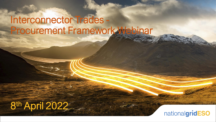# Interconnector Trades Procurement Framework Webinar

# 8 th April 2022

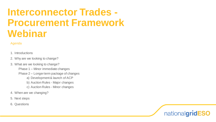## **Interconnector Trades - Procurement Framework Webinar**

### Agenda

#### 1. Introductions

- 2. Why are we looking to change?
- 3. What are we looking to change?
	- Phase 1 Minor immediate changes
	- Phase 2 Longer term package of changes
		- a) Development & launch of ACP
		- b) Auction Rules Major changes
		- c) Auction Rules Minor changes
- 4. When are we changing?
- 5. Next steps
- 6. Questions

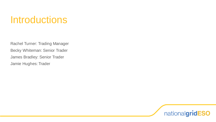## Introductions

Rachel Turner: Trading Manager Becky Whiteman: Senior Trader James Bradley: Senior Trader Jamie Hughes: Trader

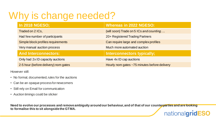# Why is change needed?

| <b>In 2018 NGESO;</b>                | <b>Whereas in 2022 NGESO:</b>                |
|--------------------------------------|----------------------------------------------|
| Traded on 2 ICs,                     | (will soon) Trade on 5 ICs and counting      |
| Had few number of participants       | 20+ Registered Trading Partners              |
| Simple block profiles requirements   | Can require large and complex profiles       |
| Very manual auction process          | Much more automated auction                  |
| <b>And Interconnectors:</b>          | Interconnectors typically;                   |
| Only had 2x ID capacity auctions     | Have 4x ID cap auctions                      |
| 2-5 hour (before delivery) nom gates | Hourly nom gates ~75 minutes before delivery |

However still:

- No formal, documented, rules for the auctions
- Can be an opaque process for newcomers
- Still rely on Email for communication
- Auction timings could be slicker

**Need to evolve our processes and remove ambiguity around our behaviour, and of that of our counterparties and are looking to formalise this to sit alongside the GTMA.**

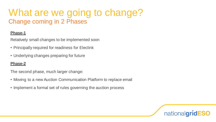## What are we going to change? Change coming in 2 Phases

### **Phase-1**

Relatively small changes to be implemented soon

- Principally required for readiness for Eleclink
- Underlying changes preparing for future

### **Phase-2**

The second phase, much larger change:

- Moving to a new Auction Communication Platform to replace email
- Implement a formal set of rules governing the auction process

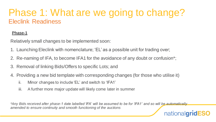## Phase 1: What are we going to change? Eleclink Readiness

### **Phase-1**

Relatively small changes to be implemented soon:

- 1. Launching Eleclink with nomenclature; 'EL' as a possible unit for trading over;
- 2. Re-naming of IFA, to become IFA1 for the avoidance of any doubt or confusion\*;
- 3. Removal of linking Bids/Offers to specific Lots; and
- 4. Providing a new bid template with corresponding changes (for those who utilise it)
	- ii. Minor changes to include 'EL' and switch to 'IFA1'
	- iii. A further more major update will likely come later in summer

*\*Any Bids received after phase-1 date labelled 'IFA' will be assumed to be for 'IFA1' and so will be automatically amended to ensure continuity and smooth functioning of the auctions*

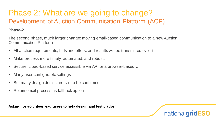## Phase 2: What are we going to change? Development of Auction Communication Platform (ACP)

### **Phase-2**

The second phase, much larger change: moving email-based communication to a new Auction Communication Platform

- All auction requirements, bids and offers, and results will be transmitted over it
- Make process more timely, automated, and robust.
- Secure, cloud-based service accessible via API or a browser-based UI,
- Many user configurable settings
- But many design details are still to be confirmed
- Retain email process as fallback option

**Asking for volunteer lead users to help design and test platform**

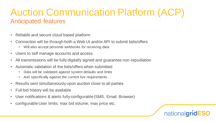## Auction Communication Platform (ACP) Anticipated features

- Reliable and secure cloud based platform
- Connection will be through both a Web UI and/or API to submit bids/offers
	- Will also accept personal webhooks for receiving data
- Users to self manage accounts and access
- All transmissions will be fully digitally signed and guarantee non-repudiation
- Automatic validation of the bids/offers when submitted
	- Data will be validated against system defaults and limits
	- And specifically against the current live requirements
- Results sent simultaneously upon auction close to all parties
- Full bid history will be available
- User notifications & alerts fully configurable (SMS, Email, Browser)
- configurable User limits: max bid volume, max price etc.

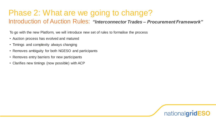## Phase 2: What are we going to change? Introduction of Auction Rules: *"Interconnector Trades – Procurement Framework"*

To go with the new Platform, we will introduce new set of rules to formalise the process

- Auction process has evolved and matured
- Timings and complexity always changing
- Removes ambiguity for both NGESO and participants
- Removes entry barriers for new participants
- Clarifies new timings (now possible) with ACP

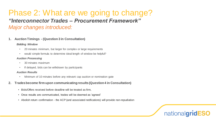## Phase 2: What are we going to change? *"Interconnector Trades – Procurement Framework" Major changes introduced:*

#### **1. Auction Timings - (Question 3 in Consultation)**

#### *Bidding Window*

- 20 minutes minimum, but larger for complex or large requirements
- would simple formula to determine ideal length of window be helpful?

#### *Auction Processing*

- 30 minutes maximum
- If delayed, bids can be withdrawn by participants

#### *Auction Results*

- Minimum of 10 minutes before any relevant cap auction or nomination gate
- **2. Trades become firm upon communicating results (Question 4 in Consultation)**
	- Bids/Offers received before deadline will be treated as firm,
	- Once results are communicated, trades will be deemed as 'agreed'
	- Abolish return confirmation the ACP (and associated notifications) will provide non-repudiation

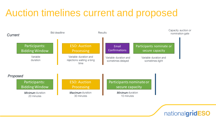# Auction timelines current and proposed



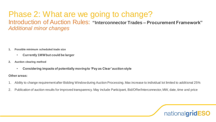## Phase 2: What are we going to change? Introduction of Auction Rules: **"Interconnector Trades – Procurement Framework"** *Additional minor changes*

- **1. Possible minimum scheduled trade size**
	- **Currently 1MW but could be larger**
- **2. Auction clearing method**
	- Considering impacts of potentially moving to 'Pay as Clear' auction style<br><sup>•</sup> areas:

### **Other areas:**

- 1. Ability to change requirement after Bidding Window during Auction Processing. Max increase to individual lot limited to additional 25%
- 2. Publication of auction results for improved transparency. May include Participant, Bid/Offer/Interconnector, MW, date, time and price

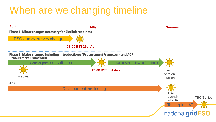# When are we changing timeline

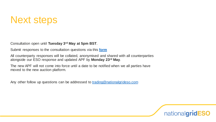## Next steps

Consultation open until **Tuesday 3rd May at 5pm BST**.

Submit responses to the consultation questions via this **[form](https://forms.office.com/pages/responsepage.aspx?id=U2qK-fMlEkKQHMd4f800lao8CXMVXV1HuRl2AwHnCLlUOVAzVEVGUEgyM1lPTkdFTlNZRFFUSVE5Ui4u)**

All counterparty responses will be collated, anonymised and shared with all counterparties alongside our ESO response and updated APF by **Monday 23rd May**.

The new APF will not come into force until a date to be notified when we all parties have moved to the new auction platform.

Any other follow up questions can be addressed to [trading@nationalgrideso.com](mailto:trading@nationalgrideso.com)